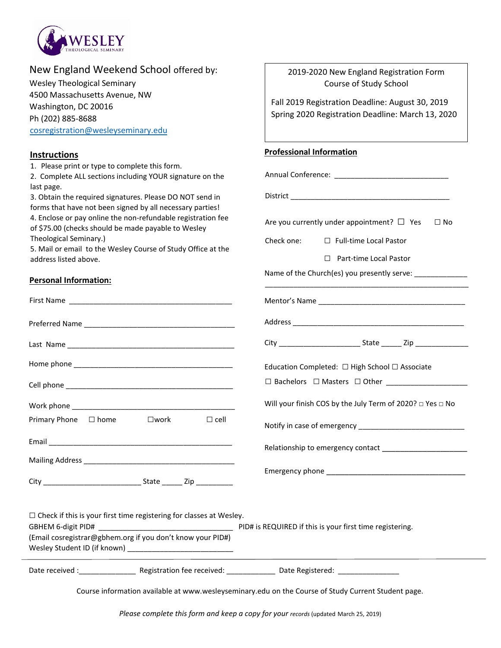

| New England Weekend School offered by: |  |  |  |
|----------------------------------------|--|--|--|
|----------------------------------------|--|--|--|

Wesley Theological Seminary 4500 Massachusetts Avenue, NW Washington, DC 20016 Ph (202) 885-8688 [cosregistration@wesleyseminary.edu](mailto:cosregistration@wesleyseminary.edu)

## **Instructions**

1. Please print or type to complete this form.

2. Complete ALL sections including YOUR signature on the last page.

3. Obtain the required signatures. Please DO NOT send in forms that have not been signed by all necessary parties! 4. Enclose or pay online the non-refundable registration fee of \$75.00 (checks should be made payable to Wesley Theological Seminary.)

5. Mail or email to the Wesley Course of Study Office at the address listed above.

First Name

Preferred Name \_\_\_\_\_\_\_\_\_\_\_\_\_\_\_\_\_\_\_\_\_\_\_\_\_\_\_\_\_\_\_\_\_\_\_\_\_

Last Name \_\_\_\_\_\_\_\_\_\_\_\_\_\_\_\_\_\_\_\_\_\_\_\_\_\_\_\_\_\_\_\_\_\_\_\_\_\_\_\_\_

Home phone  $\blacksquare$ 

Cell phone \_\_\_\_\_\_\_\_\_\_\_\_\_\_\_\_\_\_\_\_\_\_\_\_\_\_\_\_\_\_\_\_\_\_\_\_\_\_\_\_\_

Primary Phone □ home □ work □ cell

Email \_\_\_\_\_\_\_\_\_\_\_\_\_\_\_\_\_\_\_\_\_\_\_\_\_\_\_\_\_\_\_\_\_\_\_\_\_\_\_\_\_\_\_\_\_

Mailing Address \_\_\_\_\_\_\_\_\_\_\_\_\_\_\_\_\_\_\_\_\_\_\_\_\_\_\_\_\_\_\_\_\_\_\_\_\_

City \_\_\_\_\_\_\_\_\_\_\_\_\_\_\_\_\_\_\_\_\_\_\_\_ State \_\_\_\_\_ Zip \_\_\_\_\_\_\_\_\_

## **Personal Information:**

Work phone

| 2019-2020 New England Registration Form |
|-----------------------------------------|
| Course of Study School                  |

Fall 2019 Registration Deadline: August 30, 2019 Spring 2020 Registration Deadline: March 13, 2020

## **Professional Information**

Annual Conference: \_\_\_\_\_\_\_\_\_\_\_\_\_\_\_\_\_\_\_\_\_\_\_\_\_\_\_\_  $Distrit$ Are you currently under appointment?  $\square$  Yes  $\square$  No Check one: □ Full-time Local Pastor □ Part-time Local Pastor Name of the Church(es) you presently serve: \_\_\_\_\_\_\_\_\_\_\_\_\_\_\_\_\_\_\_\_\_\_\_\_\_\_\_\_\_\_\_\_\_\_\_\_\_\_\_\_\_\_\_\_\_\_\_\_\_\_ Mentor's Name \_\_\_\_\_\_\_\_\_\_\_\_\_\_\_\_\_\_\_\_\_\_\_\_\_\_\_\_\_\_\_\_\_\_\_\_ Address \_\_\_\_\_\_\_\_\_\_\_\_\_\_\_\_\_\_\_\_\_\_\_\_\_\_\_\_\_\_\_\_\_\_\_\_\_\_\_\_\_\_ City **City** State Zip Education Completed: □ High School □ Associate □ Bachelors □ Masters □ Other \_\_\_\_\_\_\_\_\_\_\_\_\_\_\_\_\_\_\_\_ Will your finish COS by the July Term of 2020? □ Yes □ No Notify in case of emergency \_\_\_\_\_\_\_\_\_\_\_\_\_\_\_\_\_\_\_\_\_\_\_\_\_\_ Relationship to emergency contact \_\_\_\_\_\_\_\_\_\_\_\_\_\_\_\_\_\_\_ Emergency phone \_\_\_\_\_\_\_\_\_\_\_\_\_\_\_\_\_\_\_\_\_\_\_\_\_\_\_\_\_\_\_

 $\square$  Check if this is your first time registering for classes at Wesley. GBHEM 6-digit PID# \_\_\_\_\_\_\_\_\_\_\_\_\_\_\_\_\_\_\_\_\_\_\_\_\_\_\_\_\_\_\_\_\_ PID# is REQUIRED if this is your first time registering. (Email cosregistrar@gbhem.org if you don't know your PID#) Wesley Student ID (if known)

# Date received :\_\_\_\_\_\_\_\_\_\_\_\_\_\_\_\_\_\_\_\_\_ Registration fee received: \_\_\_\_\_\_\_\_\_\_\_\_\_\_\_\_\_ Date Registered: \_\_\_\_\_\_\_\_\_\_\_

Course information available at www.wesleyseminary.edu on the Course of Study Current Student page.